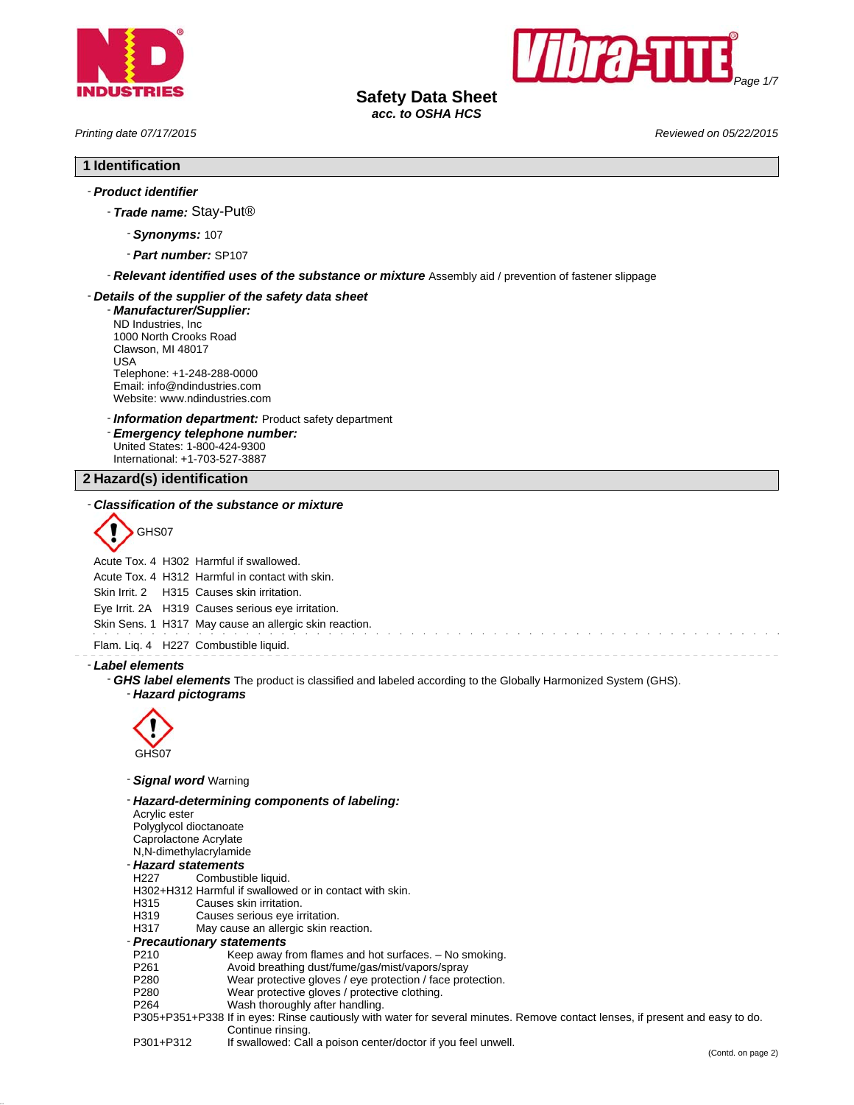



**Safety Data Sheet** *acc. to OSHA HCS*

*Printing date 07/17/2015 Reviewed on 05/22/2015*

# **1 Identification**

# - *Product identifier*

- *Trade name:* Stay-Put®
	- *Synonyms:* 107
	- *Part number:* SP107

- *Relevant identified uses of the substance or mixture* Assembly aid / prevention of fastener slippage

### - *Details of the supplier of the safety data sheet*

- *Manufacturer/Supplier:* ND Industries, Inc 1000 North Crooks Road Clawson, MI 48017 USA Telephone: +1-248-288-0000 Email: info@ndindustries.com Website: www.ndindustries.com

- *Information department:* Product safety department

- *Emergency telephone number:* United States: 1-800-424-9300 International: +1-703-527-3887

**2 Hazard(s) identification**

#### - *Classification of the substance or mixture*



Acute Tox. 4 H302 Harmful if swallowed.

Acute Tox. 4 H312 Harmful in contact with skin.

Skin Irrit. 2 H315 Causes skin irritation.

Eye Irrit. 2A H319 Causes serious eye irritation.

Skin Sens. 1 H317 May cause an allergic skin reaction.

Flam. Liq. 4 H227 Combustible liquid.

#### - *Label elements*

- *GHS label elements* The product is classified and labeled according to the Globally Harmonized System (GHS). - *Hazard pictograms*



- *Signal word* Warning

- *Hazard-determining components of labeling:* Acrylic ester Polyglycol dioctanoate Caprolactone Acrylate N,N-dimethylacrylamide - *Hazard statements* H<sub>227</sub> Combustible liquid. H302+H312 Harmful if swallowed or in contact with skin.<br>H315 Causes skin irritation. Causes skin irritation. H319 Causes serious eye irritation. H317 May cause an allergic skin reaction. - *Precautionary statements* P210 Keep away from flames and hot surfaces. – No smoking.<br>P261 Avoid breathing dust/fume/gas/mist/vapors/spray P261 Avoid breathing dust/fume/gas/mist/vapors/spray<br>P280 Wear protective gloves / eye protection / face pro

P280 Wear protective gloves / eye protection / face protection.<br>P280 Wear protective gloves / protective clothing.

- P280 Wear protective gloves / protective clothing.<br>P264 Wash thoroughly after handling.
- Wash thoroughly after handling.
- P305+P351+P338 If in eyes: Rinse cautiously with water for several minutes. Remove contact lenses, if present and easy to do. Continue rinsing.
- P301+P312 If swallowed: Call a poison center/doctor if you feel unwell.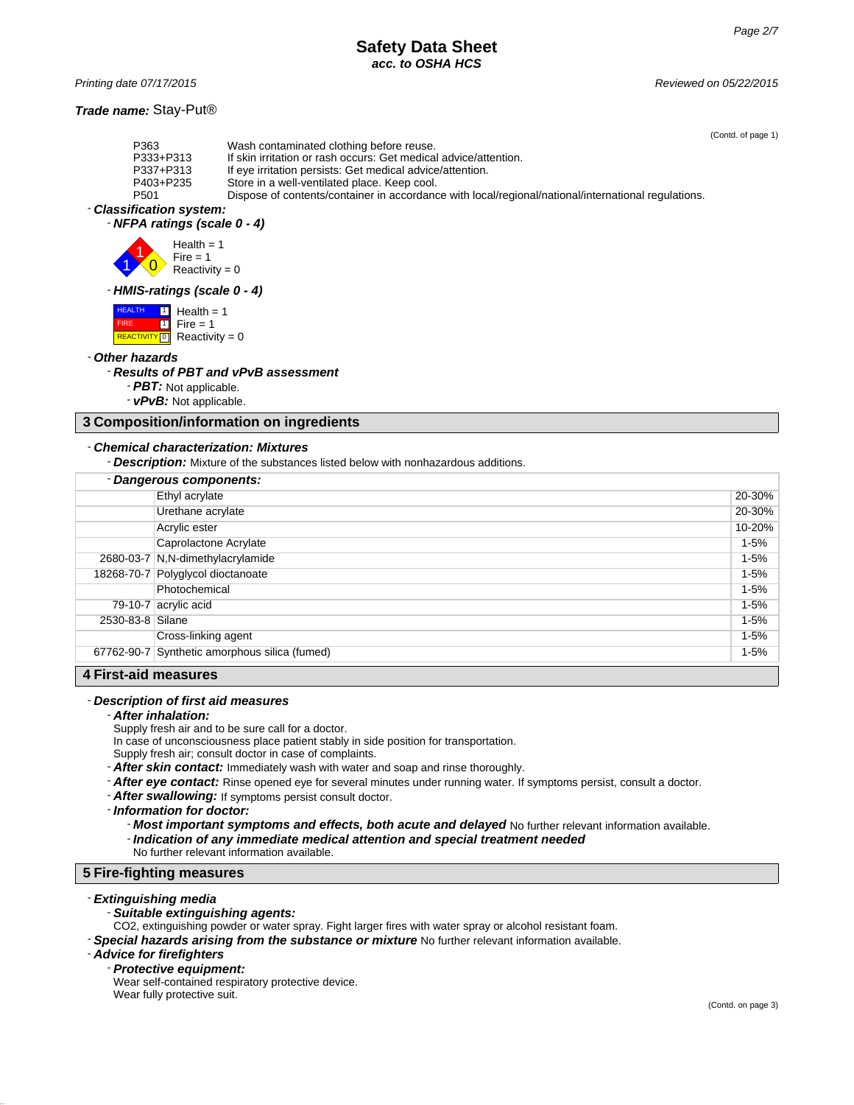# **Safety Data Sheet** *acc. to OSHA HCS*

*Printing date 07/17/2015 Reviewed on 05/22/2015*

### *Trade name:* Stay-Put®

(Contd. of page 1)

| P363                     | Wash contaminated clothing before reuse.                                                            |
|--------------------------|-----------------------------------------------------------------------------------------------------|
| P333+P313                | If skin irritation or rash occurs: Get medical advice/attention.                                    |
| P337+P313                | If eye irritation persists: Get medical advice/attention.                                           |
| P403+P235                | Store in a well-ventilated place. Keep cool.                                                        |
| P <sub>501</sub>         | Dispose of contents/container in accordance with local/regional/national/international regulations. |
| - Classification system: |                                                                                                     |
|                          |                                                                                                     |

# - *NFPA ratings (scale 0 - 4)*



### - *HMIS-ratings (scale 0 - 4)*

 HEALTH FIRE **REACTIVITY** 0  $\overline{\mathbb{1}}$  Health = 1 1  $Fire = 1$  $Reactivity = 0$ 

#### - *Other hazards*

#### - *Results of PBT and vPvB assessment*

- *PBT:* Not applicable.
- *vPvB:* Not applicable.

### **3 Composition/information on ingredients**

### - *Chemical characterization: Mixtures*

- *Description:* Mixture of the substances listed below with nonhazardous additions.

|                  | - Dangerous components:                       |          |
|------------------|-----------------------------------------------|----------|
|                  | Ethyl acrylate                                | 20-30%   |
|                  | Urethane acrylate                             | 20-30%   |
|                  | Acrylic ester                                 | 10-20%   |
|                  | Caprolactone Acrylate                         | $1 - 5%$ |
|                  | 2680-03-7 N,N-dimethylacrylamide              | $1 - 5%$ |
|                  | 18268-70-7 Polyglycol dioctanoate             | $1 - 5%$ |
|                  | Photochemical                                 | $1 - 5%$ |
|                  | 79-10-7 acrylic acid                          | $1 - 5%$ |
| 2530-83-8 Silane |                                               | $1 - 5%$ |
|                  | Cross-linking agent                           | $1 - 5%$ |
|                  | 67762-90-7 Synthetic amorphous silica (fumed) | $1 - 5%$ |
| .                |                                               |          |

### **4 First-aid measures**

#### - *Description of first aid measures*

#### - *After inhalation:*

Supply fresh air and to be sure call for a doctor.

In case of unconsciousness place patient stably in side position for transportation.

- Supply fresh air; consult doctor in case of complaints.
- *After skin contact:* Immediately wash with water and soap and rinse thoroughly.
- *After eye contact:* Rinse opened eye for several minutes under running water. If symptoms persist, consult a doctor.
- *After swallowing:* If symptoms persist consult doctor.

#### - *Information for doctor:*

- *Most important symptoms and effects, both acute and delayed* No further relevant information available. - *Indication of any immediate medical attention and special treatment needed*

No further relevant information available.

# **5 Fire-fighting measures**

# - *Extinguishing media*

### - *Suitable extinguishing agents:*

- CO2, extinguishing powder or water spray. Fight larger fires with water spray or alcohol resistant foam.
- *Special hazards arising from the substance or mixture* No further relevant information available.

#### - *Advice for firefighters*

#### - *Protective equipment:*

Wear self-contained respiratory protective device. Wear fully protective suit.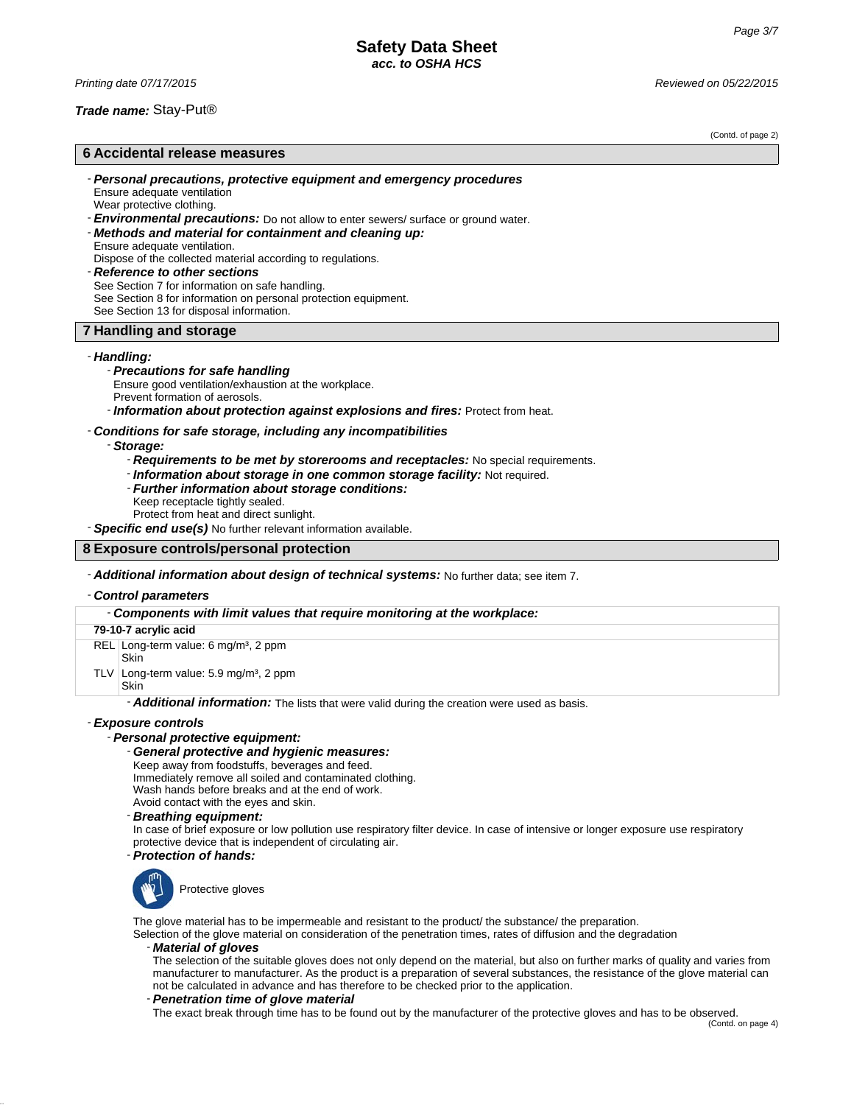*Printing date 07/17/2015 Reviewed on 05/22/2015*

### *Trade name:* Stay-Put®

(Contd. of page 2)

# **6 Accidental release measures**

- *Personal precautions, protective equipment and emergency procedures* Ensure adequate ventilation
- Wear protective clothing.
- *Environmental precautions:* Do not allow to enter sewers/ surface or ground water.
- *Methods and material for containment and cleaning up:* Ensure adequate ventilation.
- Dispose of the collected material according to regulations. - *Reference to other sections*
- See Section 7 for information on safe handling. See Section 8 for information on personal protection equipment. See Section 13 for disposal information.

### **7 Handling and storage**

#### - *Handling:*

### - *Precautions for safe handling*

- Ensure good ventilation/exhaustion at the workplace.
- Prevent formation of aerosols.

- *Information about protection against explosions and fires:* Protect from heat.

### - *Conditions for safe storage, including any incompatibilities*

#### - *Storage:*

- *Requirements to be met by storerooms and receptacles:* No special requirements.
- *Information about storage in one common storage facility:* Not required.
- *Further information about storage conditions:*
- Keep receptacle tightly sealed.
- Protect from heat and direct sunlight.

- *Specific end use(s)* No further relevant information available.

#### **8 Exposure controls/personal protection**

#### - *Additional information about design of technical systems:* No further data; see item 7.

### - *Control parameters*

### - *Components with limit values that require monitoring at the workplace:*

| 79-10-7 acrylic acid |                                                           |  |
|----------------------|-----------------------------------------------------------|--|
|                      | REL Long-term value: 6 mg/m <sup>3</sup> , 2 ppm<br>Skin  |  |
|                      | TLV Long-term value: $5.9 \text{ mg/m}^3$ , 2 ppm<br>Skin |  |

- *Additional information:* The lists that were valid during the creation were used as basis.

### - *Exposure controls*

### - *Personal protective equipment:*

#### - *General protective and hygienic measures:*

Keep away from foodstuffs, beverages and feed.

Immediately remove all soiled and contaminated clothing.

- Wash hands before breaks and at the end of work.
- Avoid contact with the eyes and skin.
- *Breathing equipment:*

In case of brief exposure or low pollution use respiratory filter device. In case of intensive or longer exposure use respiratory protective device that is independent of circulating air.

### - *Protection of hands:*



Protective gloves

The glove material has to be impermeable and resistant to the product/ the substance/ the preparation.

Selection of the glove material on consideration of the penetration times, rates of diffusion and the degradation

#### - *Material of gloves*

The selection of the suitable gloves does not only depend on the material, but also on further marks of quality and varies from manufacturer to manufacturer. As the product is a preparation of several substances, the resistance of the glove material can not be calculated in advance and has therefore to be checked prior to the application.

#### - *Penetration time of glove material*

The exact break through time has to be found out by the manufacturer of the protective gloves and has to be observed.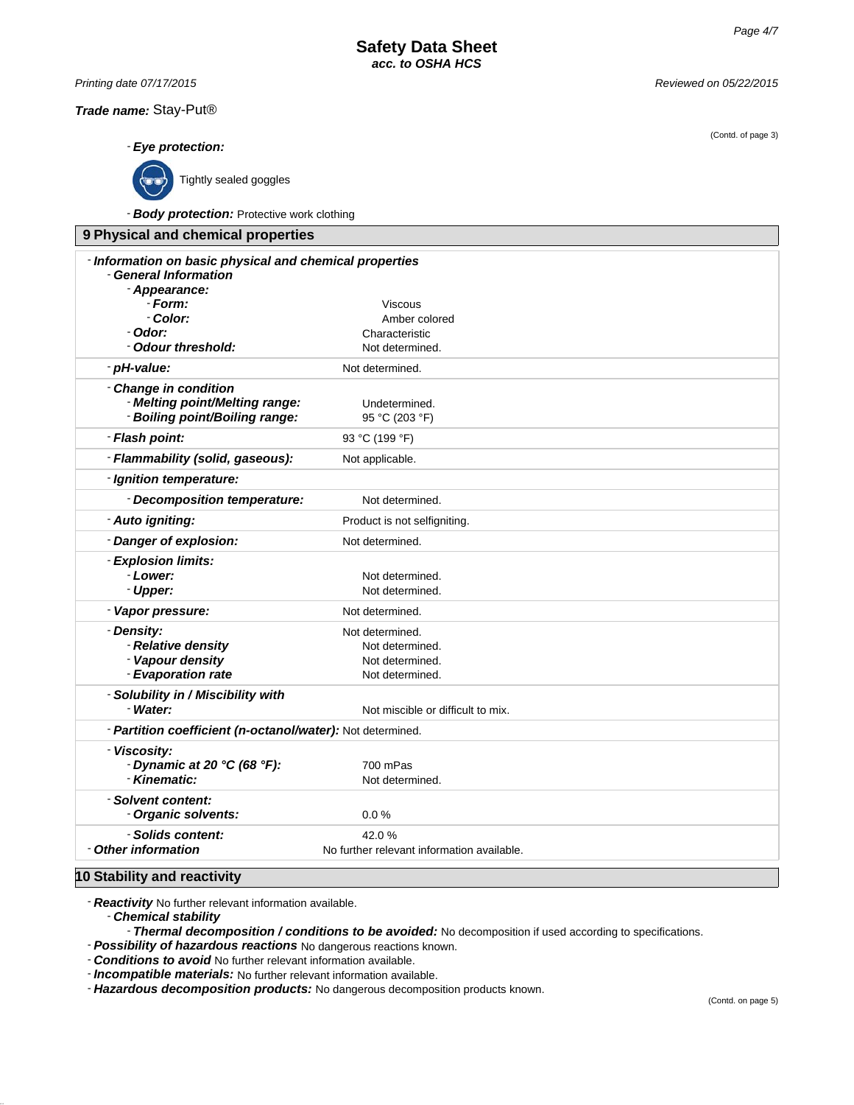*Printing date 07/17/2015 Reviewed on 05/22/2015*

*Trade name:* Stay-Put®

- *Eye protection:*

Tightly sealed goggles

- *Body protection:* Protective work clothing

| 9 Physical and chemical properties                                                                |                                                                          |  |
|---------------------------------------------------------------------------------------------------|--------------------------------------------------------------------------|--|
| - Information on basic physical and chemical properties<br>- General Information<br>- Appearance: |                                                                          |  |
| - Form:                                                                                           | Viscous                                                                  |  |
| - Color:                                                                                          | Amber colored                                                            |  |
| - Odor:                                                                                           | Characteristic                                                           |  |
| - Odour threshold:                                                                                | Not determined.                                                          |  |
| - pH-value:                                                                                       | Not determined.                                                          |  |
| - Change in condition<br>- Melting point/Melting range:<br>- Boiling point/Boiling range:         | Undetermined.<br>95 °C (203 °F)                                          |  |
| - Flash point:                                                                                    | 93 °C (199 °F)                                                           |  |
| - Flammability (solid, gaseous):                                                                  | Not applicable.                                                          |  |
| - Ignition temperature:                                                                           |                                                                          |  |
| - Decomposition temperature:                                                                      | Not determined.                                                          |  |
| - Auto igniting:                                                                                  | Product is not selfigniting.                                             |  |
| - Danger of explosion:                                                                            | Not determined.                                                          |  |
| - Explosion limits:<br>- Lower:<br>- Upper:                                                       | Not determined.<br>Not determined.                                       |  |
| - Vapor pressure:                                                                                 | Not determined.                                                          |  |
| - Density:<br>- Relative density<br>- Vapour density<br>- Evaporation rate                        | Not determined.<br>Not determined.<br>Not determined.<br>Not determined. |  |
| - Solubility in / Miscibility with<br>- Water:                                                    | Not miscible or difficult to mix.                                        |  |
| - Partition coefficient (n-octanol/water): Not determined.                                        |                                                                          |  |
| - Viscosity:<br>- Dynamic at 20 °C (68 °F):<br>- Kinematic:                                       | 700 mPas<br>Not determined.                                              |  |
| - Solvent content:<br>- Organic solvents:                                                         | 0.0%                                                                     |  |
| - Solids content:<br>- Other information                                                          | 42.0%<br>No further relevant information available.                      |  |

# **10 Stability and reactivity**

- *Reactivity* No further relevant information available.

- *Chemical stability*

- *Thermal decomposition / conditions to be avoided:* No decomposition if used according to specifications.

- *Possibility of hazardous reactions* No dangerous reactions known.

- *Conditions to avoid* No further relevant information available.

- *Incompatible materials:* No further relevant information available.

- *Hazardous decomposition products:* No dangerous decomposition products known.

(Contd. of page 3)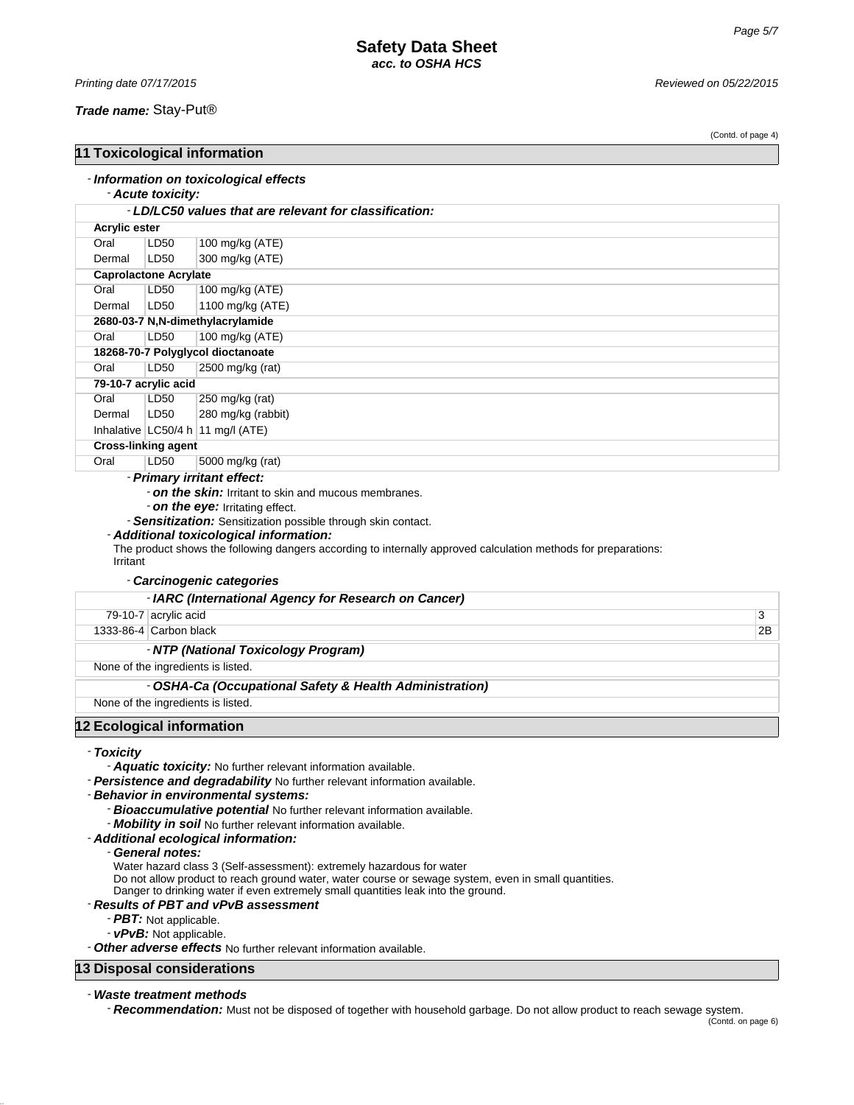### *Trade name:* Stay-Put®

(Contd. of page 4)

| 11 Toxicological information                                  |                                   |                                                        |  |
|---------------------------------------------------------------|-----------------------------------|--------------------------------------------------------|--|
|                                                               | - Acute toxicity:                 | - Information on toxicological effects                 |  |
|                                                               |                                   | - LD/LC50 values that are relevant for classification: |  |
| <b>Acrylic ester</b>                                          |                                   |                                                        |  |
| Oral                                                          | LD50                              | 100 mg/kg (ATE)                                        |  |
| Dermal                                                        | LD50                              | 300 mg/kg (ATE)                                        |  |
|                                                               | <b>Caprolactone Acrylate</b>      |                                                        |  |
| Oral                                                          | LD50                              | 100 mg/kg (ATE)                                        |  |
| Dermal                                                        | LD50                              | 1100 mg/kg (ATE)                                       |  |
|                                                               | 2680-03-7 N,N-dimethylacrylamide  |                                                        |  |
| Oral                                                          | LD50                              | 100 mg/kg (ATE)                                        |  |
|                                                               | 18268-70-7 Polyglycol dioctanoate |                                                        |  |
| Oral                                                          | LD50                              | 2500 mg/kg (rat)                                       |  |
|                                                               | 79-10-7 acrylic acid              |                                                        |  |
| Oral                                                          | LD50                              | 250 mg/kg (rat)                                        |  |
| Dermal                                                        | LD50                              | 280 mg/kg (rabbit)                                     |  |
|                                                               |                                   | Inhalative $LC50/4 h$ 11 mg/l (ATE)                    |  |
|                                                               | <b>Cross-linking agent</b>        |                                                        |  |
| Oral                                                          | LD50                              | 5000 mg/kg (rat)                                       |  |
| - Primary irritant effect:                                    |                                   |                                                        |  |
| - on the skin: Irritant to skin and mucous membranes.         |                                   |                                                        |  |
| - on the eye: Irritating effect.                              |                                   |                                                        |  |
| - Sensitization: Sensitization possible through skin contact. |                                   |                                                        |  |

### - *Additional toxicological information:*

The product shows the following dangers according to internally approved calculation methods for preparations: Irritant

### - *Carcinogenic categories*

|                                    | - IARC (International Agency for Research on Cancer)    |    |  |
|------------------------------------|---------------------------------------------------------|----|--|
|                                    | 79-10-7 acrylic acid                                    | 3  |  |
|                                    | 1333-86-4 Carbon black                                  | 2B |  |
|                                    | - NTP (National Toxicology Program)                     |    |  |
|                                    | None of the ingredients is listed.                      |    |  |
|                                    | - OSHA-Ca (Occupational Safety & Health Administration) |    |  |
| None of the ingredients is listed. |                                                         |    |  |
|                                    | 12 Ecological information                               |    |  |

- *Toxicity*

- *Aquatic toxicity:* No further relevant information available.

- *Persistence and degradability* No further relevant information available.

#### - *Behavior in environmental systems:*

- *Bioaccumulative potential* No further relevant information available.
- *Mobility in soil* No further relevant information available.
- *Additional ecological information:*

#### - *General notes:*

Water hazard class 3 (Self-assessment): extremely hazardous for water

Do not allow product to reach ground water, water course or sewage system, even in small quantities.

Danger to drinking water if even extremely small quantities leak into the ground.

# - *Results of PBT and vPvB assessment*

- *PBT:* Not applicable.
- *vPvB:* Not applicable.

- *Other adverse effects* No further relevant information available.

# **13 Disposal considerations**

#### - *Waste treatment methods*

- *Recommendation:* Must not be disposed of together with household garbage. Do not allow product to reach sewage system.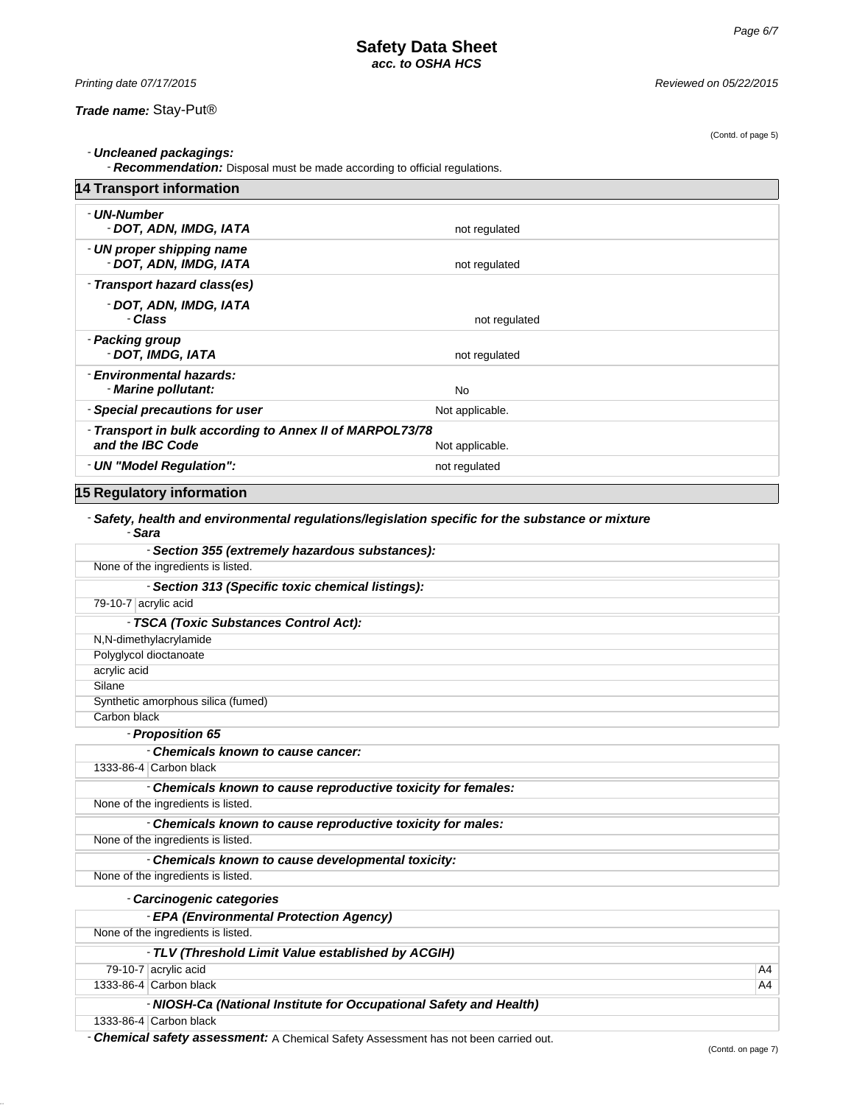(Contd. of page 5)

*Printing date 07/17/2015 Reviewed on 05/22/2015*

- *Uncleaned packagings:*

- *Recommendation:* Disposal must be made according to official regulations.

| <b>14 Transport information</b>                                              |                 |
|------------------------------------------------------------------------------|-----------------|
| - UN-Number<br>- DOT, ADN, IMDG, IATA                                        | not regulated   |
| - UN proper shipping name<br>- DOT, ADN, IMDG, IATA                          | not regulated   |
| - Transport hazard class(es)                                                 |                 |
| - DOT, ADN, IMDG, IATA<br>- Class                                            | not regulated   |
| - Packing group<br>- DOT, IMDG, IATA                                         | not regulated   |
| - Environmental hazards:<br>- Marine pollutant:                              | No              |
| - Special precautions for user                                               | Not applicable. |
| - Transport in bulk according to Annex II of MARPOL73/78<br>and the IBC Code | Not applicable. |
| - UN "Model Regulation":                                                     | not regulated   |
| 15 Regulatory information                                                    |                 |

# - *Safety, health and environmental regulations/legislation specific for the substance or mixture* - *Sara*

| - Section 355 (extremely hazardous substances):                                      |    |
|--------------------------------------------------------------------------------------|----|
| None of the ingredients is listed.                                                   |    |
| - Section 313 (Specific toxic chemical listings):                                    |    |
| 79-10-7 acrylic acid                                                                 |    |
| - TSCA (Toxic Substances Control Act):                                               |    |
| N,N-dimethylacrylamide                                                               |    |
| Polyglycol dioctanoate                                                               |    |
| acrylic acid                                                                         |    |
| Silane                                                                               |    |
| Synthetic amorphous silica (fumed)                                                   |    |
| Carbon black                                                                         |    |
| - Proposition 65                                                                     |    |
| - Chemicals known to cause cancer:                                                   |    |
| 1333-86-4 Carbon black                                                               |    |
| - Chemicals known to cause reproductive toxicity for females:                        |    |
| None of the ingredients is listed.                                                   |    |
| - Chemicals known to cause reproductive toxicity for males:                          |    |
| None of the ingredients is listed.                                                   |    |
| - Chemicals known to cause developmental toxicity:                                   |    |
| None of the ingredients is listed.                                                   |    |
| - Carcinogenic categories                                                            |    |
| - EPA (Environmental Protection Agency)                                              |    |
| None of the ingredients is listed.                                                   |    |
| - TLV (Threshold Limit Value established by ACGIH)                                   |    |
| 79-10-7 acrylic acid                                                                 | A4 |
| 1333-86-4 Carbon black                                                               | A4 |
| - NIOSH-Ca (National Institute for Occupational Safety and Health)                   |    |
| 1333-86-4 Carbon black                                                               |    |
| - Chemical safety assessment: A Chemical Safety Assessment has not been carried out. |    |